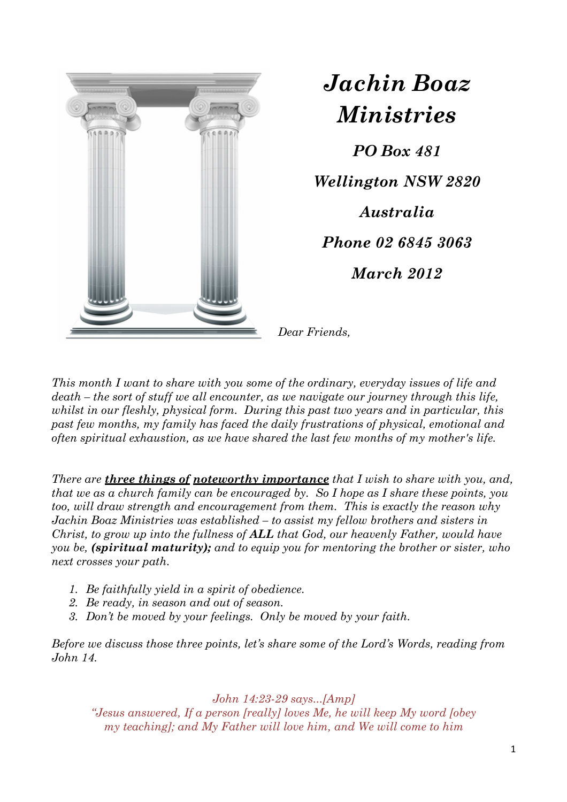

*Jachin Boaz Ministries*

*PO Box 481 Wellington NSW 2820 Australia Phone 02 6845 3063 March 2012* 

*Dear Friends,* 

*This month I want to share with you some of the ordinary, everyday issues of life and death – the sort of stuff we all encounter, as we navigate our journey through this life, whilst in our fleshly, physical form. During this past two years and in particular, this past few months, my family has faced the daily frustrations of physical, emotional and often spiritual exhaustion, as we have shared the last few months of my mother's life.* 

*There are three things of noteworthy importance that I wish to share with you, and, that we as a church family can be encouraged by. So I hope as I share these points, you too, will draw strength and encouragement from them. This is exactly the reason why Jachin Boaz Ministries was established – to assist my fellow brothers and sisters in Christ, to grow up into the fullness of ALL that God, our heavenly Father, would have you be, (spiritual maturity); and to equip you for mentoring the brother or sister, who next crosses your path.* 

- *1. Be faithfully yield in a spirit of obedience.*
- *2. Be ready, in season and out of season.*
- *3. Don't be moved by your feelings. Only be moved by your faith.*

*Before we discuss those three points, let's share some of the Lord's Words, reading from John 14.* 

*John 14:23-29 says...[Amp] "Jesus answered, If a person [really] loves Me, he will keep My word [obey my teaching]; and My Father will love him, and We will come to him*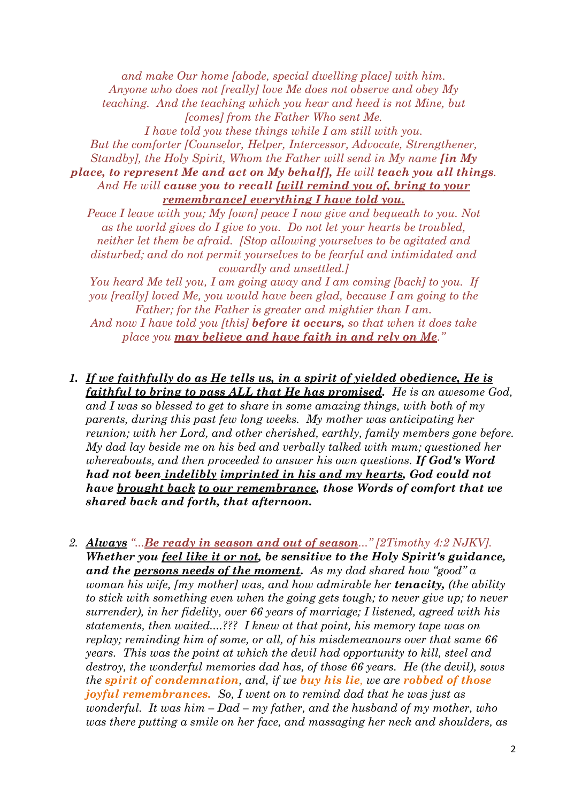*and make Our home [abode, special dwelling place] with him. Anyone who does not [really] love Me does not observe and obey My teaching. And the teaching which you hear and heed is not Mine, but [comes] from the Father Who sent Me. I have told you these things while I am still with you. But the comforter [Counselor, Helper, Intercessor, Advocate, Strengthener, Standby], the Holy Spirit, Whom the Father will send in My name [in My place, to represent Me and act on My behalf], He will teach you all things. And He will cause you to recall [will remind you of, bring to your remembrance] everything I have told you.* 

*Peace I leave with you; My [own] peace I now give and bequeath to you. Not as the world gives do I give to you. Do not let your hearts be troubled, neither let them be afraid. [Stop allowing yourselves to be agitated and disturbed; and do not permit yourselves to be fearful and intimidated and cowardly and unsettled.]* 

*You heard Me tell you, I am going away and I am coming [back] to you. If you [really] loved Me, you would have been glad, because I am going to the Father; for the Father is greater and mightier than I am.* 

*And now I have told you [this] before it occurs, so that when it does take place you may believe and have faith in and rely on Me."* 

*1. If we faithfully do as He tells us, in a spirit of yielded obedience, He is faithful to bring to pass ALL that He has promised. He is an awesome God,* 

*and I was so blessed to get to share in some amazing things, with both of my parents, during this past few long weeks. My mother was anticipating her reunion; with her Lord, and other cherished, earthly, family members gone before. My dad lay beside me on his bed and verbally talked with mum; questioned her whereabouts, and then proceeded to answer his own questions. If God's Word had not been indelibly imprinted in his and my hearts, God could not have brought back to our remembrance, those Words of comfort that we shared back and forth, that afternoon.* 

*2. Always "...Be ready in season and out of season..." [2Timothy 4:2 NJKV]. Whether you feel like it or not, be sensitive to the Holy Spirit's guidance, and the persons needs of the moment. As my dad shared how "good" a woman his wife, [my mother] was, and how admirable her tenacity, (the ability to stick with something even when the going gets tough; to never give up; to never surrender), in her fidelity, over 66 years of marriage; I listened, agreed with his statements, then waited....??? I knew at that point, his memory tape was on replay; reminding him of some, or all, of his misdemeanours over that same 66 years. This was the point at which the devil had opportunity to kill, steel and destroy, the wonderful memories dad has, of those 66 years. He (the devil), sows the spirit of condemnation, and, if we buy his lie, we are robbed of those joyful remembrances. So, I went on to remind dad that he was just as wonderful. It was him – Dad – my father, and the husband of my mother, who was there putting a smile on her face, and massaging her neck and shoulders, as*